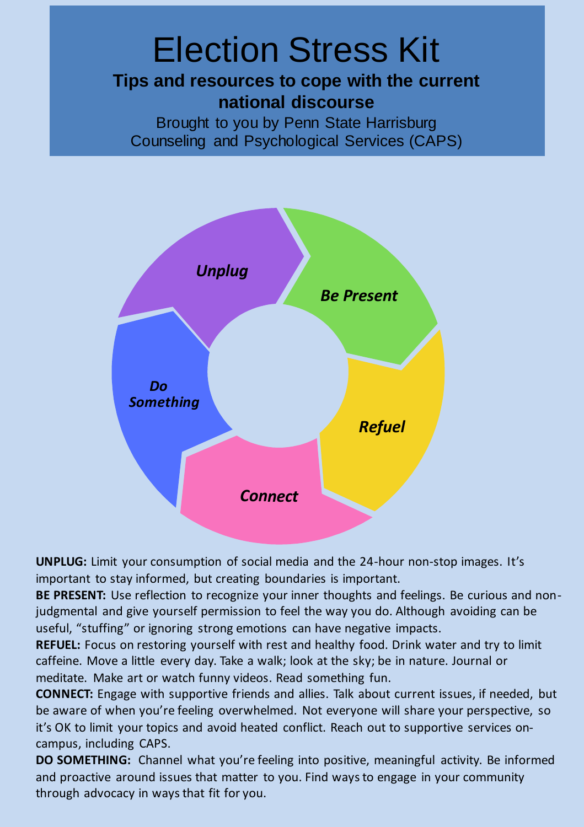#### **Tips and resources to cope with the current**  Election Stress Kit **national discourse**

 Brought to you by Penn State Harrisburg Counseling and Psychological Services (CAPS)



 **UNPLUG:** Limit your consumption of social media and the 24-hour non-stop images. It's important to stay informed, but creating boundaries is important.

 **BE PRESENT:** Use reflection to recognize your inner thoughts and feelings. Be curious and non- judgmental and give yourself permission to feel the way you do. Although avoiding can be useful, "stuffing" or ignoring strong emotions can have negative impacts.

 **REFUEL:** Focus on restoring yourself with rest and healthy food. Drink water and try to limit caffeine. Move a little every day. Take a walk; look at the sky; be in nature. Journal or meditate. Make art or watch funny videos. Read something fun.

 **CONNECT:** Engage with supportive friends and allies. Talk about current issues, if needed, but be aware of when you're feeling overwhelmed. Not everyone will share your perspective, so it's OK to limit your topics and avoid heated conflict. Reach out to supportive services on-campus, including CAPS.

 **DO SOMETHING:** Channel what you're feeling into positive, meaningful activity. Be informed and proactive around issues that matter to you. Find ways to engage in your community through advocacy in ways that fit for you.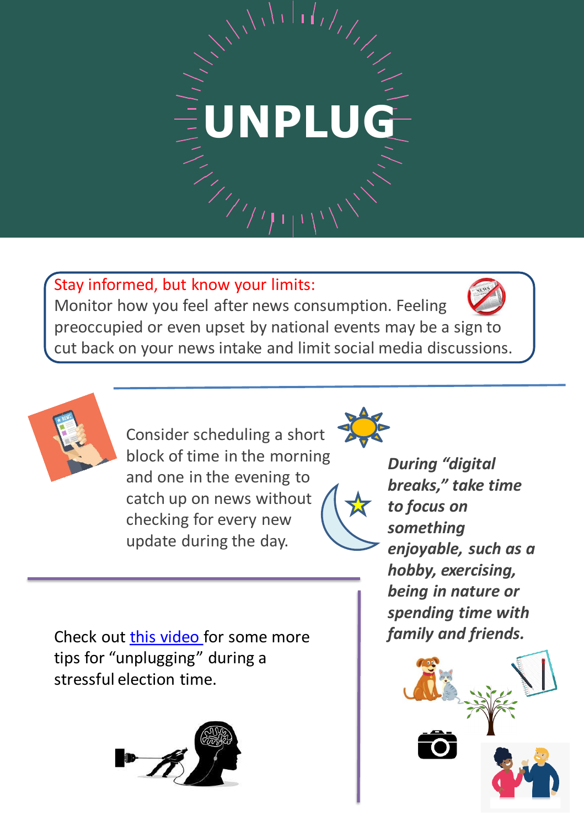# UNPLUG

 Stay informed, but know your limits: Monitor how you feel after news consumption. Feeling preoccupied or even upset by national events may be a sign to cut back on your news intake and limit social media discussions.



 Consider scheduling a short block of time in the morning *During "digital* and one in the evening to *breaks," take time* and one in the evening to catch up on news without **to focus on**<br>checking for every new *something*<br>update during the day. **enjoyable, such as a** checking for every new update during the day.



**During "digital** breaks," take time to focus on enjoyable, such as a  *hobby, exercising, being in nature or spending time with*  family and friends.

 tips for "unplugging" during a stressful election time. Check out **this video** for some more



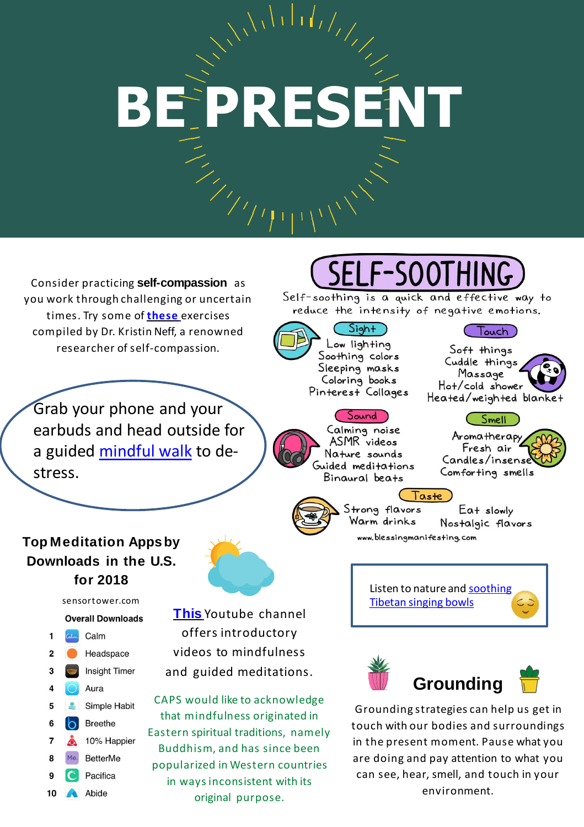# **BE PRESENT**

 Consider practicing **self-compassion** as you work through challenging or uncertain compiled by Dr. Kristin Neff, a renowned times. Try some of **these** exercises researcher of self-compassion.

 Grab your phone and your earbuds and head outside for a guided mindful walk to destress.

#### SELF-SOOTHING

Self-soothing is a quick and effective way to reduce the intensity of negative emotions.

 $C$ Sight Low lighting Soothing colors Sleeping masks Coloring books Pinterest Collages

(Sound

Calming noise

ASMR videos

Nature sounds

Guided meditations

Binaural beats

Touch) Soft things Cuddle things Massage Hot/cold shower Heated/weighted blanke.

#### Smell

Aromatherapy Fresh air Candles/insense Comforting smells



Eat slowly Nostalgic flavors www.blessingmanifesting.com

#### **Top Meditation Appsby Downloads in the U.S. for 2018**

[sensortower.com](https://sensortower.com) 

#### **Overall Downloads**

1 Calm  $\overline{2}$ Headspace **Insight Timer** 3 Aura 4 Simple Habit 5  $\triangle$ 6 **Breethe**  $\sigma$ 10% Happier  $\overline{\mathbf{z}}$  $\ddot{\bullet}$ **BetterMe** 8 9 Pacifica 10 Abide

 **This** Youtube channel offers introductory videos to mindfulness offers introductory videos to mindfulness and guided meditations.

 CAPS would like to acknowledge that mindfulness originated in Buddhism, and has since been Buddhism, and has since been popularized in Western countries in ways inconsistent with its original purpose. Eastern spiritual traditions, namely Listen to nature and **soothing** Tibetan singing bowls

Taste





Grounding strategies can help us get in in the present moment. Pause what you in the present moment. Pause what you<br>are doing and pay attention to what you can see, hear, smell, and touch in your touch with our bodies and surroundings environment.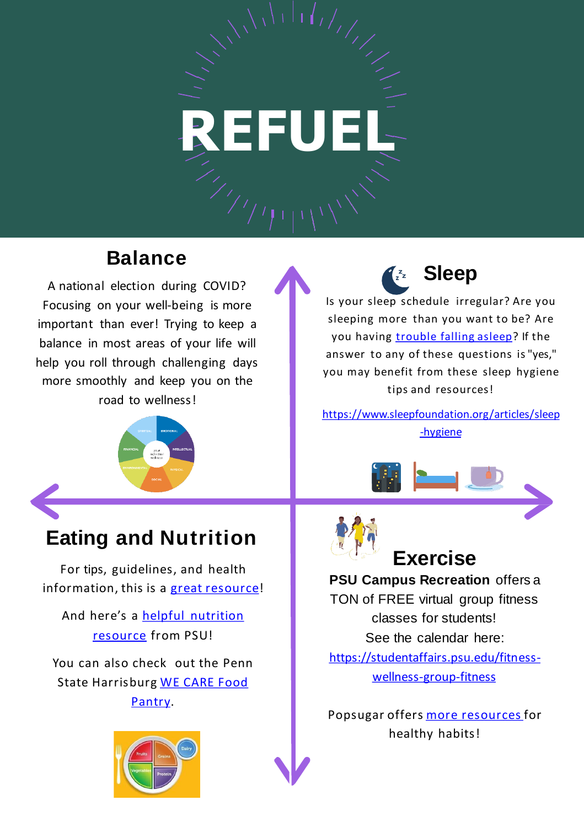### **REFUEL**

#### **Balance Balance C**<sub>2</sub><sup>2</sup> **Sleep**

 Focusing on your well-being is more important than ever! Trying to keep a balance in most areas of your life will more smoothly and keep you on the A national election during COVID? help you roll through challenging days road to wellness!



Is your sleep schedule irregular? Are you Is your sleep schedule irregular? Are you sleeping more than you want to be? Are you having <u>trouble falling asleep</u>? If the answer to any of these questions is "yes," answer to any of these questions is "yes," you may benefit from these sleep hygiene tips and resources!

https://www.sleepfoundation.org/articles/sleep -hygiene



#### **Eating and Nutrition**

For tips, guidelines, and health For tips, guidelines, and health<br>information, this is a great resource!

And here's a <u>helpful nutrition</u> resource from PSU!

 You can also check out the Penn State Harrisburg WE CARE Food Pantry.







 **PSU Campus Recreation** offers a TON of FREE virtual group fitness classes for students! See the calendar here: https://studentaffairs.psu.edu/fitnesswellness-group-fitness

Popsugar offers <u>more resources</u> for healthy habits!

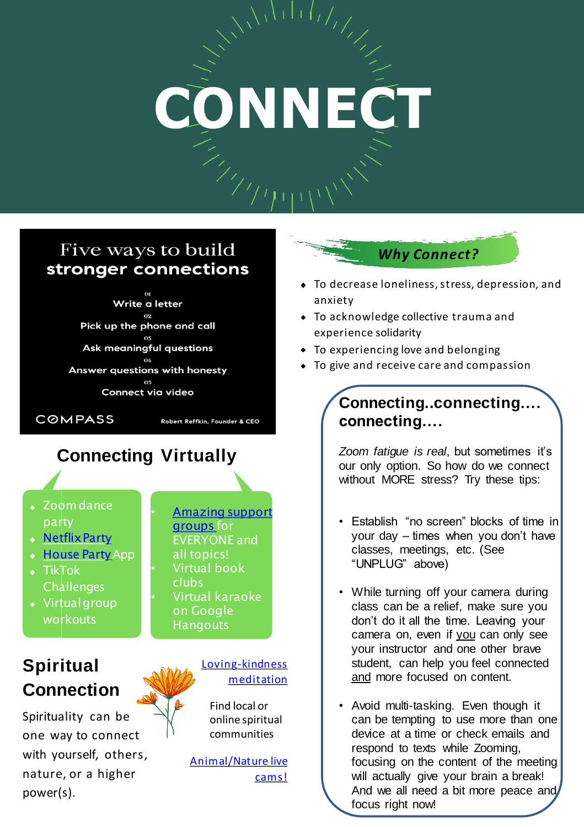## **CONNECT**

#### Five ways to build stronger connections

Write a letter Pick up the phone and call Ask meaningful questions Answer questions with honesty Connect via video

**COMPASS** 

Robert Reffkin, Founder & CEO

#### **Connecting Virtually**

- Zoom dance<br>party<br><mark>Netflix Part<u>y</u><br>House Party</mark> App party • Zoom dance
- **Netflix Party**
- 
- TikTok<br>Challenges<br>Virtual group **Challenges** TikTok
- workouts

#### **Spiritual** Loving-kindness **Connection** *Connection*

Spirituality can be  $\overrightarrow{\ }$  online spiritual one way to connect  $\Box$  communities nature, or a higher cams! with yourself, others, animal/Nature live power(s).

 EVERYONE and • Virtual book • Virtual karaoke on Google • Amazing support groups for all topics! clubs **Hangouts** 

 Find local or online spiritual

*Why Connect?* 

- To decrease loneliness, stress, depression, and anxiety
- To acknowledge collective trauma and experience solidarity
- To experiencing love and belonging
- To give and receive care and compassion

#### **Connecting..connecting…. connecting….**

*Zoom fatigue is real*, but sometimes it's our only option. So how do we connect without MORE stress? Try these tips:

- Establish "no screen" blocks of time in your day – times when you don't have classes, meetings, etc. (See "UNPLUG" above)
- While turning off your camera during class can be a relief, make sure you don't do it all the time. Leaving your camera on, even if you can only see your instructor and one other brave student, can help you feel connected and more focused on content.
- Avoid multi-tasking. Even though it can be tempting to use more than one device at a time or check emails and respond to texts while Zooming, focusing on the content of the meeting will actually give your brain a break! And we all need a bit more peace and focus right now!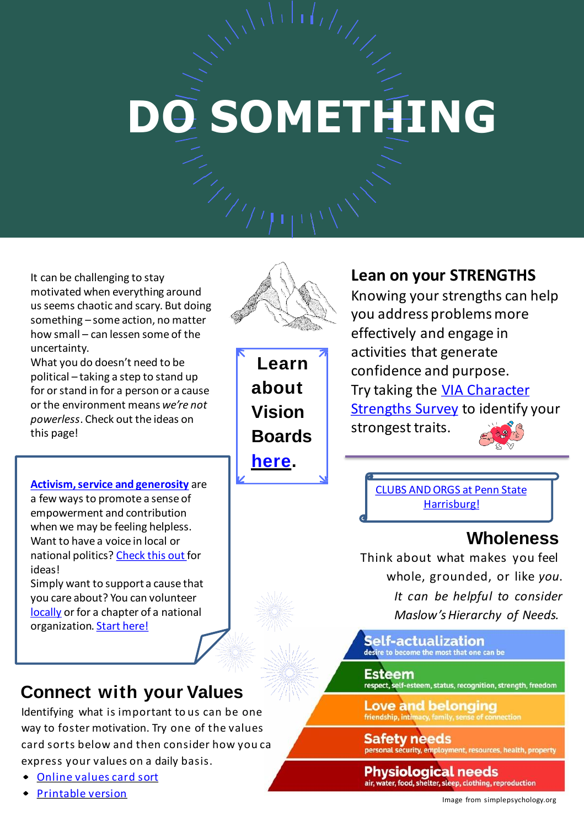### **DO SOMETHING**

 It can be challenging to stay motivated when everything around us seems chaotic and scary. But doing something – some action, no matter how small – can lessen some of the uncertainty.

 What you do doesn't need to be political – taking a step to stand up for or stand in for a person or a cause or the environment means *we're not powerless*. Check out the ideas on this page!

 **Activism, service and generosity** are a few ways to promote a sense of empowerment and contribution when we may be feeling helpless. Want to have a voice in local or national politics? Check this out for ideas!

 Simply want to support a cause that you care about? You can volunteer locally or for a chapter of a national organization. Start here!

#### **Connect with your Values**

 Identifying what is important to us can be one way to foster motivation. Try one of the values card sorts below and then consider how you ca express your values on a daily basis.

- Online values card sort
- Printable version



**Learn about Vision Boards here.** 

#### **Lean on your STRENGTHS**

 Knowing your strengths can help you address problems more effectively and engage in activities that generate confidence and purpose. Try taking the **VIA Character** Strengths Survey to identify your strongest traits.

 CLUBS AND ORGS at Penn State Harrisburg!

#### **Wholeness**

Think about what makes you feel whole, grounded, or like *you*. *It can be helpful to consider Maslow'sHierarchy of Needs.*

**Self-actualization** desire to become the most that one can be

#### **Esteem**

respect, self-esteem, status, recognition, strength, freedom

**Love and belonging** friendship, intimacy, family, sens

**Safety needs** personal security, employment, resources, health, property

**Physiological needs** air, water, food, shelter, sleep, clothing, reproduction